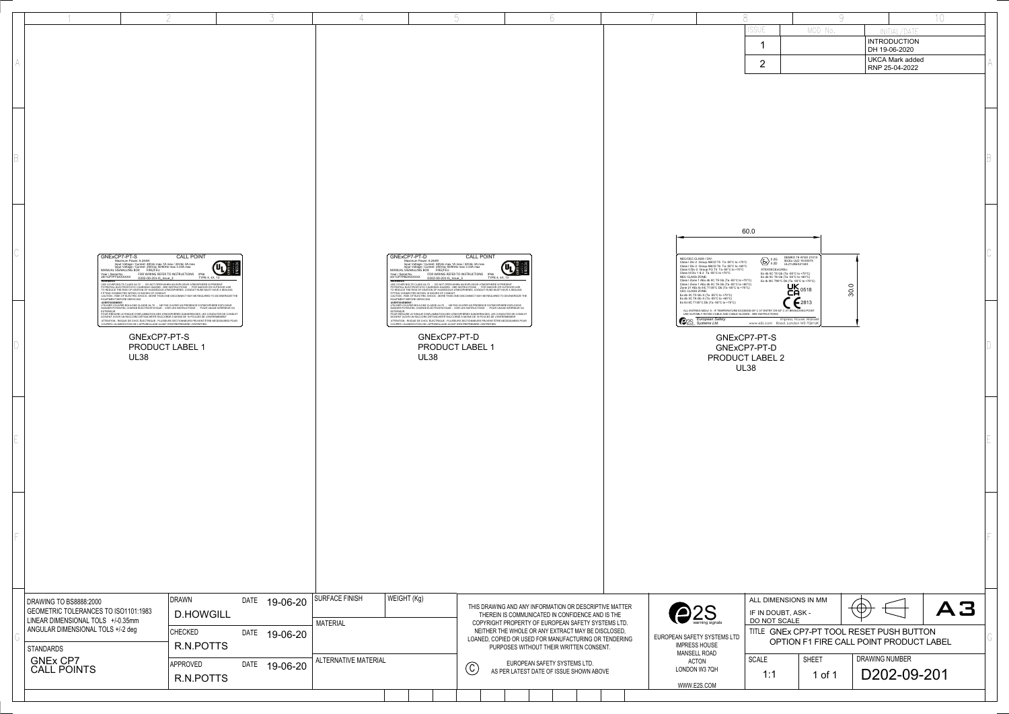|                              |                                                                                                                                          |                                                                                                                                                                                                                                         |                                                                                                                                                                                                                                                                                                                                                                                                                                                                                                                                                                                                      |                                |                      |                 |                                                                                                                                                                                                                                                                                                       |                 |                                                                                                                                                                                                                                                                                                                                                                                                                                                                                                                               |                              |  |                                                                                                                                             |  |      |                                                                                                                                                                                                                                                                                                                                                                                                                                                                   |                                                                                                        |                                                                                                                                                                                                                                                                                                                            |                                                                                   |                                |                                                           | $1 \cap$ |  |
|------------------------------|------------------------------------------------------------------------------------------------------------------------------------------|-----------------------------------------------------------------------------------------------------------------------------------------------------------------------------------------------------------------------------------------|------------------------------------------------------------------------------------------------------------------------------------------------------------------------------------------------------------------------------------------------------------------------------------------------------------------------------------------------------------------------------------------------------------------------------------------------------------------------------------------------------------------------------------------------------------------------------------------------------|--------------------------------|----------------------|-----------------|-------------------------------------------------------------------------------------------------------------------------------------------------------------------------------------------------------------------------------------------------------------------------------------------------------|-----------------|-------------------------------------------------------------------------------------------------------------------------------------------------------------------------------------------------------------------------------------------------------------------------------------------------------------------------------------------------------------------------------------------------------------------------------------------------------------------------------------------------------------------------------|------------------------------|--|---------------------------------------------------------------------------------------------------------------------------------------------|--|------|-------------------------------------------------------------------------------------------------------------------------------------------------------------------------------------------------------------------------------------------------------------------------------------------------------------------------------------------------------------------------------------------------------------------------------------------------------------------|--------------------------------------------------------------------------------------------------------|----------------------------------------------------------------------------------------------------------------------------------------------------------------------------------------------------------------------------------------------------------------------------------------------------------------------------|-----------------------------------------------------------------------------------|--------------------------------|-----------------------------------------------------------|----------|--|
|                              |                                                                                                                                          |                                                                                                                                                                                                                                         |                                                                                                                                                                                                                                                                                                                                                                                                                                                                                                                                                                                                      |                                |                      |                 |                                                                                                                                                                                                                                                                                                       |                 |                                                                                                                                                                                                                                                                                                                                                                                                                                                                                                                               |                              |  |                                                                                                                                             |  |      |                                                                                                                                                                                                                                                                                                                                                                                                                                                                   |                                                                                                        |                                                                                                                                                                                                                                                                                                                            | MOD No.                                                                           |                                | INITIAI / DATE<br><b>INTRODUCTION</b><br>DH 19-06-2020    |          |  |
|                              |                                                                                                                                          |                                                                                                                                                                                                                                         |                                                                                                                                                                                                                                                                                                                                                                                                                                                                                                                                                                                                      |                                |                      |                 |                                                                                                                                                                                                                                                                                                       |                 |                                                                                                                                                                                                                                                                                                                                                                                                                                                                                                                               |                              |  |                                                                                                                                             |  |      |                                                                                                                                                                                                                                                                                                                                                                                                                                                                   | $\overline{2}$                                                                                         |                                                                                                                                                                                                                                                                                                                            |                                                                                   |                                | <b>UKCA Mark added</b><br>RNP 25-04-2022                  |          |  |
|                              |                                                                                                                                          |                                                                                                                                                                                                                                         |                                                                                                                                                                                                                                                                                                                                                                                                                                                                                                                                                                                                      |                                |                      |                 |                                                                                                                                                                                                                                                                                                       |                 |                                                                                                                                                                                                                                                                                                                                                                                                                                                                                                                               |                              |  |                                                                                                                                             |  |      |                                                                                                                                                                                                                                                                                                                                                                                                                                                                   |                                                                                                        |                                                                                                                                                                                                                                                                                                                            |                                                                                   |                                |                                                           |          |  |
|                              |                                                                                                                                          |                                                                                                                                                                                                                                         |                                                                                                                                                                                                                                                                                                                                                                                                                                                                                                                                                                                                      |                                |                      |                 |                                                                                                                                                                                                                                                                                                       |                 |                                                                                                                                                                                                                                                                                                                                                                                                                                                                                                                               |                              |  |                                                                                                                                             |  |      |                                                                                                                                                                                                                                                                                                                                                                                                                                                                   |                                                                                                        |                                                                                                                                                                                                                                                                                                                            |                                                                                   |                                |                                                           |          |  |
|                              |                                                                                                                                          |                                                                                                                                                                                                                                         |                                                                                                                                                                                                                                                                                                                                                                                                                                                                                                                                                                                                      |                                |                      |                 |                                                                                                                                                                                                                                                                                                       |                 |                                                                                                                                                                                                                                                                                                                                                                                                                                                                                                                               |                              |  |                                                                                                                                             |  |      |                                                                                                                                                                                                                                                                                                                                                                                                                                                                   | 60.0                                                                                                   |                                                                                                                                                                                                                                                                                                                            |                                                                                   |                                |                                                           |          |  |
|                              | GNExCP7-PT-S<br><b>NARNINGS</b>                                                                                                          | Maximum Power: 6.244W<br>Input Voltage / Current: 48Vdc max 1A max / 24Vdc 3A max<br>Input Voltage / Current: 250Vac 50/60Hz max 3.33A max<br>MANUAL SIGNALLING BOX FIRE/FEU<br>Year / Serial No. FOR WIRING REFER TO INSTRUCTIONS IP66 | <b>CALL POINT</b><br>TYPE 4, 4X, 13<br>VARININGS<br>JSE COVER BOLTS CLASS A4-70 ; DO NOT OPEN WHEN AN EXPLOSIVE ATMOSPHERE IS PRESENT<br>DOLOGICI IL INCORRECTATO CHARGING HAZARD - SEE INSTRUCTIONS - ; FOR INDOCR OR OUTDOOR USE<br>TO REDUCE THE RISK OF IGNITION OF HAZARD - SEE INSTRUCTIONS - ; FOR INDOCR OR OUTDOOR USE<br>TO REDUCE THE RISK OF IGNITION OF HAZARD D<br>CAUTION - RISK OF ELECTRIC SHOCK - MORE THAN ONE DISCONNECT MAY BE REQUIRED TO DE-ENERGIZE THE                                                                                                                      |                                |                      | <b>WARNINGS</b> | GNExCP7-PT-D<br>Maximum Power: 6.244W<br>Input Voltage / Current: 48Vdc max 1A max / 24Vdc 3A max<br>Input Voltage / Current: 250Vac 50/60Hz max 3.33A max<br>MANUAL SIGNALLING BOX<br>FIRE/FEU<br>Year / Serial No. FOR WIRING REFER TO INSTRUCTIONS IP66<br>20/1CP7PBDXXXXXX D202-00-201-IS_Issue_3 |                 | <b>CALL POINT</b><br>TYPE 4, 4X, 13<br>WANNINGS<br>USE COVER BOLTS CLASS A4-70 ; DO NOT OPEN WHEN AN EXPLOSIVE ATMOSPHERE IS PRESENT<br>DOCUMENT RECORDENT OF HAGING HAZARD - SEE INSTRUCTIONS - ; FOR INDOCR OR OUTDOOR USE<br>FO TEDUCE THE RISK OF IGNITION OF HAZARD - SEE INSTRUCTIONS - ; FOR INDOCR OR OUTDOOR USE<br>TO TEDUCE THE RISK OF IGNITION OF HAZARD - SEE<br>CAUTION - RISK OF ELECTRIC SHOCK - MORE THAN ONE DISCONNECT MAY BE REQUIRED TO DE-ENERGIZE THE                                                 |                              |  |                                                                                                                                             |  |      | NEC/CEC CLASS / DIV:<br>Class I Div 2 Group ABCD T5 Ta -55°C to +70°C<br>Class I Div 2 Group ABCD T6 Ta -55°C to +60°C<br>Class II Div 2 Group FG T4 Ta -55°C to +70°C<br>Class III Div 1 & 2 Ta -55°C to +70°C<br>NEC CLASS ZONE:<br>Class I Zone 1 AEx db IIC T5 Gb (Ta -55°C to +70°C)<br>Class I Zone 1 AEx db IIC T6 Gb (Ta -55°C to +60°C)<br>Zone 21 AEx tb IIIC T135°C Db (Ta -55°C to +70°C)<br>CEC CLASS ZONE:<br>Ex db IIC T5 Gb X (Ta -55°C to +70°C) |                                                                                                        | $\left\langle \bigotimes_{II} \right\rangle_{II}^{II\ 2G} \quad \begin{array}{ll} \text{DEMKO 19 A1E X 210} \\ \text{IECEX ULD 19.0007X} \\ \text{UL21UKEX2134X} \end{array}$<br>ATEX/IECEx/UKEx:<br>Ex db IIC T5 Gb (Ta -55°C to +70°C)<br>Ex db IIC T6 Gb (Ta -55°C to +60°C)<br>Ex tb IIIC T90°C Db (Ta -55°C to +70°C) | DEMKO 19 ATEX 2101X<br><b>IECEx ULD 19.0007X</b><br><b>UK</b> 0518                | $\circ$<br>$\overline{\omega}$ |                                                           |          |  |
|                              | QUIPMENT BEFORE SERVICING                                                                                                                | GNExCP7-PT-S                                                                                                                                                                                                                            | ROPIETRISMENT.<br>UTELISER COLVINIR BOULONS CLASSE A4-70 : NE PAS OUVRIR UN PRESENCE D'ATMOSPHERE EXPLOSIVE<br>UTELISER COLVINIR BOULONS CLASSE A4-70 : NE PAS OUVRIR UN PRESENCE D'ATMOSPHERE EXPLOSIVE<br>EXTERIEUR<br>EXTERIEUR<br>POUR RÉDUIRE LE RISQUE D'INFLAMMATION DES ATMOSPHÈRES DANGEREUSES, LES CONDUITES DE CONDUIT<br>XOIVENT AVOIR UN RACCORD D'ÉTANCHÉITÉ RACCORDÉ À MOINS DE 18 POUCES DE L'ENFERMEMENT<br>ATTENTION - RISQUE DE CHOC ÉLECTRIQUE - PLUSIEURS SECTIONNEURS PEUVENT ÊTRE NÉCESSAIRES POUR<br>OUPER L'ALIMENTATION DE L'APPAREILLAGE AVANT D'ENTREPRENDRE L'ENTRETIEN |                                |                      |                 | EQUIPMENT BEFORE SERVICING<br>OUPER L'ALIMENTATION DE L'APPAREILLAGE AVANT D'ENTREPRENDRE L'ENTRETIEN                                                                                                                                                                                                 | GNExCP7-PT-D    | EMPERTAINMENT METALLARING CLASSE AA-70<br>UTILISER COUVRIR BOULONS CLASSE AA-70 : NE PAS OUVRIR UN PRESENCE D'ATMOSPHERE EXPLOSIVE<br>UTILISER COUVRIR BOULONS CLASSE AA-70 : NE PAS OUVRIR UN PRESENCE D'ATMOSPHERE EXPLOSIVE<br>CYTER<br>OUR RÉDUIRE LE RISQUE D'INFLAMMATION DES ATMOSPHÈRES DANGEREUSES, LES CONDUITES DE CONDUIT<br>DOIVENT AVOIR UN RACCORD D'ÉTANCHÉITÉ RACCORDÉ À MOINS DE 18 POUCES DE L'ENFERMEMENT<br>ATTENTION - RISQUE DE CHOC ÉLECTRIQUE - PLUSIEURS SECTIONNEURS PEUVENT ÊTRE NÉCESSAIRES POUR |                              |  |                                                                                                                                             |  |      | Ex db IIC T6 Gb X (Ta -55°C to +60°C)<br>Ex tb IIIC T135°C Db (Ta -55°C to +70°C)<br>ALL ENTRIES M20x1.5 - IF TEMPERATURE EXCEEDS 60° C AT ENTRY OR 60° C AT BRANCHING POINT<br>USE SUITABLY RATED CABLE AND CABLE GLANDS - SEE INSTRUCTIONS<br><b>European Safety</b><br><b>@2S</b> European Sare                                                                                                                                                                | GNExCP7-PT-S                                                                                           |                                                                                                                                                                                                                                                                                                                            | $\bigcup_{2813}$<br>Impress, House, Mansell<br>www.e2s.com Road, London W3 7QH Uk |                                |                                                           |          |  |
|                              |                                                                                                                                          | PRODUCT LABEL 1<br><b>UL38</b>                                                                                                                                                                                                          |                                                                                                                                                                                                                                                                                                                                                                                                                                                                                                                                                                                                      |                                |                      |                 | <b>UL38</b>                                                                                                                                                                                                                                                                                           | PRODUCT LABEL 1 |                                                                                                                                                                                                                                                                                                                                                                                                                                                                                                                               |                              |  |                                                                                                                                             |  |      | PRODUCT LABEL 2                                                                                                                                                                                                                                                                                                                                                                                                                                                   | GNExCP7-PT-D<br><b>UL38</b>                                                                            |                                                                                                                                                                                                                                                                                                                            |                                                                                   |                                |                                                           |          |  |
|                              |                                                                                                                                          |                                                                                                                                                                                                                                         |                                                                                                                                                                                                                                                                                                                                                                                                                                                                                                                                                                                                      |                                |                      |                 |                                                                                                                                                                                                                                                                                                       |                 |                                                                                                                                                                                                                                                                                                                                                                                                                                                                                                                               |                              |  |                                                                                                                                             |  |      |                                                                                                                                                                                                                                                                                                                                                                                                                                                                   |                                                                                                        |                                                                                                                                                                                                                                                                                                                            |                                                                                   |                                |                                                           |          |  |
|                              |                                                                                                                                          |                                                                                                                                                                                                                                         |                                                                                                                                                                                                                                                                                                                                                                                                                                                                                                                                                                                                      |                                |                      |                 |                                                                                                                                                                                                                                                                                                       |                 |                                                                                                                                                                                                                                                                                                                                                                                                                                                                                                                               |                              |  |                                                                                                                                             |  |      |                                                                                                                                                                                                                                                                                                                                                                                                                                                                   |                                                                                                        |                                                                                                                                                                                                                                                                                                                            |                                                                                   |                                |                                                           |          |  |
|                              |                                                                                                                                          |                                                                                                                                                                                                                                         |                                                                                                                                                                                                                                                                                                                                                                                                                                                                                                                                                                                                      |                                |                      |                 |                                                                                                                                                                                                                                                                                                       |                 |                                                                                                                                                                                                                                                                                                                                                                                                                                                                                                                               |                              |  |                                                                                                                                             |  |      |                                                                                                                                                                                                                                                                                                                                                                                                                                                                   |                                                                                                        |                                                                                                                                                                                                                                                                                                                            |                                                                                   |                                |                                                           |          |  |
|                              |                                                                                                                                          |                                                                                                                                                                                                                                         |                                                                                                                                                                                                                                                                                                                                                                                                                                                                                                                                                                                                      |                                |                      |                 |                                                                                                                                                                                                                                                                                                       |                 |                                                                                                                                                                                                                                                                                                                                                                                                                                                                                                                               |                              |  |                                                                                                                                             |  |      |                                                                                                                                                                                                                                                                                                                                                                                                                                                                   |                                                                                                        |                                                                                                                                                                                                                                                                                                                            |                                                                                   |                                |                                                           |          |  |
|                              | DRAWING TO BS8888:2000<br>GEOMETRIC TOLERANCES TO ISO1101:1983<br>LINEAR DIMENSIONAL TOLS +/-0.35mm<br>ANGULAR DIMENSIONAL TOLS +/-2 deg | DRAWN<br><b>D.HOWGILL</b><br>CHECKED                                                                                                                                                                                                    | SURFACE FINISH<br>DATE 19-06-20<br><b>MATERIAL</b>                                                                                                                                                                                                                                                                                                                                                                                                                                                                                                                                                   |                                |                      | WEIGHT (Kg)     |                                                                                                                                                                                                                                                                                                       |                 | THIS DRAWING AND ANY INFORMATION OR DESCRIPTIVE MATTER<br>THEREIN IS COMMUNICATED IN CONFIDENCE AND IS THE<br>COPYRIGHT PROPERTY OF EUROPEAN SAFETY SYSTEMS LTD.<br>NEITHER THE WHOLE OR ANY EXTRACT MAY BE DISCLOSED.                                                                                                                                                                                                                                                                                                        |                              |  |                                                                                                                                             |  | e 2S |                                                                                                                                                                                                                                                                                                                                                                                                                                                                   | ALL DIMENSIONS IN MM<br>IF IN DOUBT, ASK -<br>DO NOT SCALE<br>TITLE GNEx CP7-PT TOOL RESET PUSH BUTTON |                                                                                                                                                                                                                                                                                                                            | $\circledast$                                                                     |                                | A3                                                        |          |  |
| STANDARDS<br><b>GNEx CP7</b> | CALL POINTS                                                                                                                              |                                                                                                                                                                                                                                         | R.N.POTTS<br>APPROVED                                                                                                                                                                                                                                                                                                                                                                                                                                                                                                                                                                                | DATE 19-06-20<br>DATE 19-06-20 | ALTERNATIVE MATERIAL |                 |                                                                                                                                                                                                                                                                                                       |                 | $\odot$                                                                                                                                                                                                                                                                                                                                                                                                                                                                                                                       | EUROPEAN SAFETY SYSTEMS LTD. |  | LOANED, COPIED OR USED FOR MANUFACTURING OR TENDERING<br>PURPOSES WITHOUT THEIR WRITTEN CONSENT.<br>AS PER LATEST DATE OF ISSUE SHOWN ABOVE |  |      | EUROPEAN SAFETY SYSTEMS LTD<br>IMPRESS HOUSE<br>MANSELL ROAD<br><b>ACTON</b><br>LONDON W3 7QH                                                                                                                                                                                                                                                                                                                                                                     | SCALE                                                                                                  |                                                                                                                                                                                                                                                                                                                            | SHEET                                                                             |                                | OPTION F1 FIRE CALL POINT PRODUCT LABEL<br>DRAWING NUMBER |          |  |
|                              |                                                                                                                                          |                                                                                                                                                                                                                                         | R.N.POTTS                                                                                                                                                                                                                                                                                                                                                                                                                                                                                                                                                                                            |                                |                      |                 |                                                                                                                                                                                                                                                                                                       |                 |                                                                                                                                                                                                                                                                                                                                                                                                                                                                                                                               |                              |  |                                                                                                                                             |  |      | WWW.E2S.COM                                                                                                                                                                                                                                                                                                                                                                                                                                                       |                                                                                                        | 1:1                                                                                                                                                                                                                                                                                                                        | 1 of 1                                                                            |                                | D202-09-201                                               |          |  |